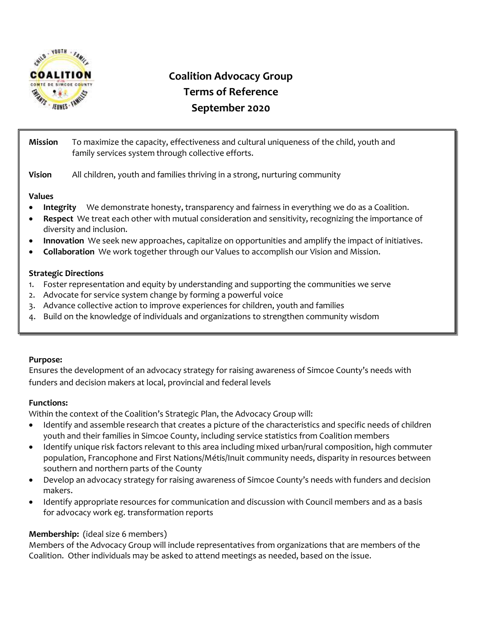

# **Coalition Advocacy Group Terms of Reference September 2020**

| <b>Mission</b> | To maximize the capacity, effectiveness and cultural uniqueness of the child, youth and<br>family services system through collective efforts. |
|----------------|-----------------------------------------------------------------------------------------------------------------------------------------------|
| <b>Vision</b>  | All children, youth and families thriving in a strong, nurturing community                                                                    |

## **Values**

- **Integrity** We demonstrate honesty, transparency and fairness in everything we do as a Coalition.
- **Respect** We treat each other with mutual consideration and sensitivity, recognizing the importance of diversity and inclusion.
- **Innovation** We seek new approaches, capitalize on opportunities and amplify the impact of initiatives.
- **Collaboration** We work together through our Values to accomplish our Vision and Mission.

## **Strategic Directions**

- 1. Foster representation and equity by understanding and supporting the communities we serve
- 2. Advocate for service system change by forming a powerful voice
- 3. Advance collective action to improve experiences for children, youth and families
- 4. Build on the knowledge of individuals and organizations to strengthen community wisdom

## **Purpose:**

Ensures the development of an advocacy strategy for raising awareness of Simcoe County's needs with funders and decision makers at local, provincial and federal levels

# **Functions:**

Within the context of the Coalition's Strategic Plan, the Advocacy Group will:

- Identify and assemble research that creates a picture of the characteristics and specific needs of children youth and their families in Simcoe County, including service statistics from Coalition members
- Identify unique risk factors relevant to this area including mixed urban/rural composition, high commuter population, Francophone and First Nations/Métis/Inuit community needs, disparity in resources between southern and northern parts of the County
- Develop an advocacy strategy for raising awareness of Simcoe County's needs with funders and decision makers.
- Identify appropriate resources for communication and discussion with Council members and as a basis for advocacy work eg. transformation reports

# **Membership:** (ideal size 6 members)

Members of the Advocacy Group will include representatives from organizations that are members of the Coalition. Other individuals may be asked to attend meetings as needed, based on the issue.